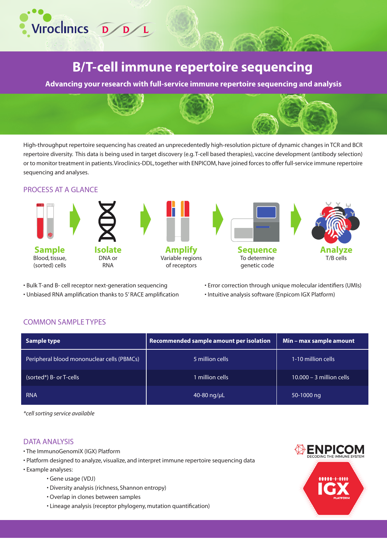

# **B/T-cell immune repertoire sequencing**

**Advancing your research with full-service immune repertoire sequencing and analysis**



High-throughput repertoire sequencing has created an unprecedentedly high-resolution picture of dynamic changes in TCR and BCR repertoire diversity. This data is being used in target discovery (e.g. T-cell based therapies), vaccine development (antibody selection) or to monitor treatment in patients. Viroclinics-DDL, together with ENPICOM, have joined forces to offer full-service immune repertoire sequencing and analyses.

### PROCESS AT A GLANCE



• Bulk T-and B- cell receptor next-generation sequencing

- Unbiased RNA amplification thanks to 5' RACE amplification
- Error correction through unique molecular identifiers (UMIs)
- Intuitive analysis software (Enpicom IGX Platform)

## COMMON SAMPLE TYPES

| Sample type                                | Recommended sample amount per isolation | Min - max sample amount    |
|--------------------------------------------|-----------------------------------------|----------------------------|
| Peripheral blood mononuclear cells (PBMCs) | 5 million cells                         | 1-10 million cells         |
| (sorted*) B- or T-cells                    | 1 million cells                         | $10.000 - 3$ million cells |
| <b>RNA</b>                                 | 40-80 $\frac{1}{\mu}$                   | 50-1000 ng                 |

*\*cell sorting service available*

# DATA ANALYSIS

- The ImmunoGenomiX (IGX) Platform
- Platform designed to analyze, visualize, and interpret immune repertoire sequencing data
- Example analyses:
	- Gene usage (VDJ)
	- Diversity analysis (richness, Shannon entropy)
	- Overlap in clones between samples
	- Lineage analysis (receptor phylogeny, mutation quantification)